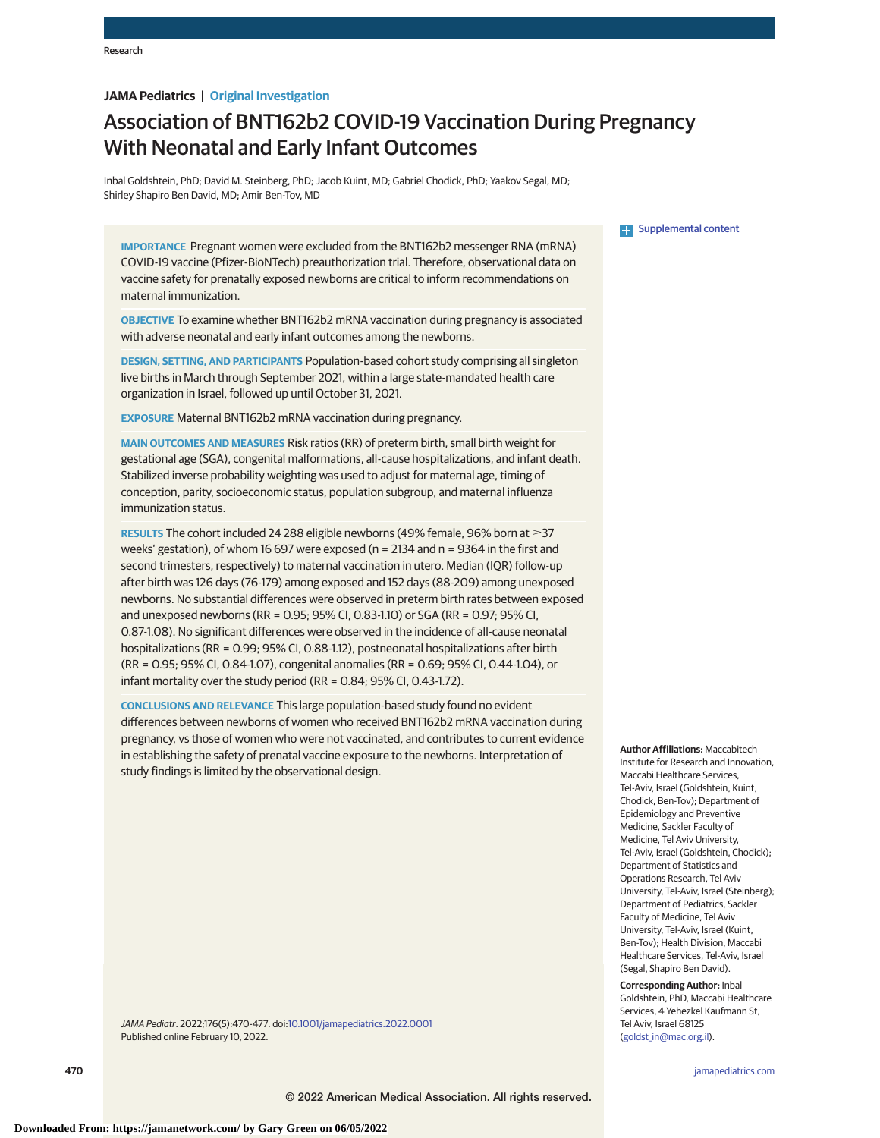## **JAMA Pediatrics | Original Investigation**

# Association of BNT162b2 COVID-19 Vaccination During Pregnancy With Neonatal and Early Infant Outcomes

Inbal Goldshtein, PhD; David M. Steinberg, PhD; Jacob Kuint, MD; Gabriel Chodick, PhD; Yaakov Segal, MD; Shirley Shapiro Ben David, MD; Amir Ben-Tov, MD

**IMPORTANCE** Pregnant women were excluded from the BNT162b2 messenger RNA (mRNA) COVID-19 vaccine (Pfizer-BioNTech) preauthorization trial. Therefore, observational data on vaccine safety for prenatally exposed newborns are critical to inform recommendations on maternal immunization.

**OBJECTIVE** To examine whether BNT162b2 mRNA vaccination during pregnancy is associated with adverse neonatal and early infant outcomes among the newborns.

**DESIGN, SETTING, AND PARTICIPANTS** Population-based cohort study comprising all singleton live births in March through September 2021, within a large state-mandated health care organization in Israel, followed up until October 31, 2021.

**EXPOSURE** Maternal BNT162b2 mRNA vaccination during pregnancy.

**MAIN OUTCOMES AND MEASURES** Risk ratios (RR) of preterm birth, small birth weight for gestational age (SGA), congenital malformations, all-cause hospitalizations, and infant death. Stabilized inverse probability weighting was used to adjust for maternal age, timing of conception, parity, socioeconomic status, population subgroup, and maternal influenza immunization status.

**RESULTS** The cohort included 24 288 eligible newborns (49% female, 96% born at  $\geq$ 37 weeks' gestation), of whom 16 697 were exposed (n = 2134 and n = 9364 in the first and second trimesters, respectively) to maternal vaccination in utero. Median (IQR) follow-up after birth was 126 days (76-179) among exposed and 152 days (88-209) among unexposed newborns. No substantial differences were observed in preterm birth rates between exposed and unexposed newborns (RR = 0.95; 95% CI, 0.83-1.10) or SGA (RR = 0.97; 95% CI, 0.87-1.08). No significant differences were observed in the incidence of all-cause neonatal hospitalizations (RR = 0.99; 95% CI, 0.88-1.12), postneonatal hospitalizations after birth (RR = 0.95; 95% CI, 0.84-1.07), congenital anomalies (RR = 0.69; 95% CI, 0.44-1.04), or infant mortality over the study period (RR = 0.84; 95% CI, 0.43-1.72).

**CONCLUSIONS AND RELEVANCE** This large population-based study found no evident differences between newborns of women who received BNT162b2 mRNA vaccination during pregnancy, vs those of women who were not vaccinated, and contributes to current evidence in establishing the safety of prenatal vaccine exposure to the newborns. Interpretation of study findings is limited by the observational design.

JAMA Pediatr. 2022;176(5):470-477. doi[:10.1001/jamapediatrics.2022.0001](https://jamanetwork.com/journals/jama/fullarticle/10.1001/jamapediatrics.2022.0001?utm_campaign=articlePDF%26utm_medium=articlePDFlink%26utm_source=articlePDF%26utm_content=jamapediatrics.2022.0001) Published online February 10, 2022.



**[Supplemental content](https://jamanetwork.com/journals/ped/fullarticle/10.1001/jamapediatrics.2022.0001?utm_campaign=articlePDF%26utm_medium=articlePDFlink%26utm_source=articlePDF%26utm_content=jamapediatrics.2022.0001)** 

**Author Affiliations:** Maccabitech Institute for Research and Innovation, Maccabi Healthcare Services, Tel-Aviv, Israel (Goldshtein, Kuint, Chodick, Ben-Tov); Department of Epidemiology and Preventive Medicine, Sackler Faculty of Medicine, Tel Aviv University, Tel-Aviv, Israel (Goldshtein, Chodick); Department of Statistics and Operations Research, Tel Aviv University, Tel-Aviv, Israel (Steinberg); Department of Pediatrics, Sackler Faculty of Medicine, Tel Aviv University, Tel-Aviv, Israel (Kuint, Ben-Tov); Health Division, Maccabi Healthcare Services, Tel-Aviv, Israel (Segal, Shapiro Ben David).

**Corresponding Author:** Inbal Goldshtein, PhD, Maccabi Healthcare Services, 4 Yehezkel Kaufmann St, Tel Aviv, Israel 68125 [\(goldst\\_in@mac.org.il\)](mailto:goldst_in@mac.org.il).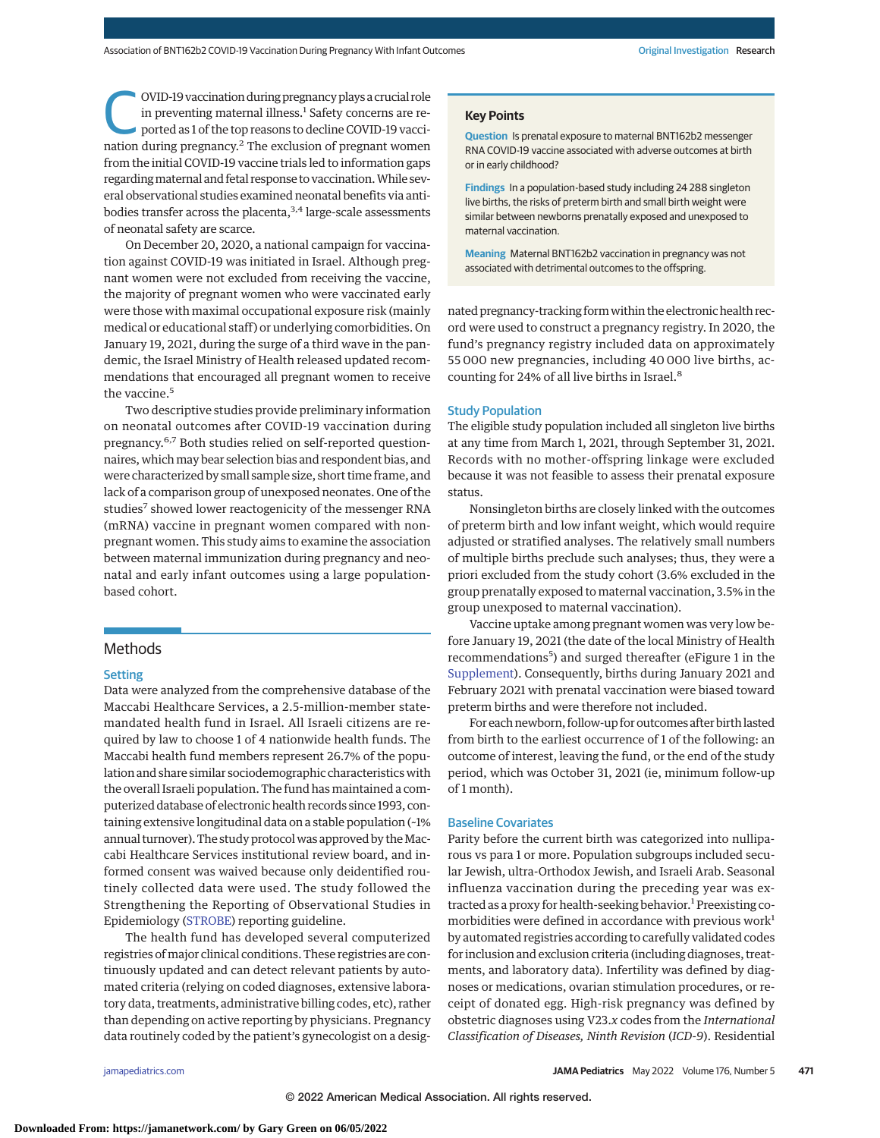OVID-19 vaccination during pregnancy plays a crucial role<br>in preventing maternal illness.<sup>1</sup> Safety concerns are re-<br>ported as 1 of the top reasons to decline COVID-19 vacci-<br>partien during programcy <sup>2</sup> The ovclusion of p in preventing maternal illness.<sup>1</sup> Safety concerns are renation during pregnancy. $2$  The exclusion of pregnant women from the initial COVID-19 vaccine trials led to information gaps regarding maternal and fetal response to vaccination. While several observational studies examined neonatal benefits via antibodies transfer across the placenta,<sup>3,4</sup> large-scale assessments of neonatal safety are scarce.

On December 20, 2020, a national campaign for vaccination against COVID-19 was initiated in Israel. Although pregnant women were not excluded from receiving the vaccine, the majority of pregnant women who were vaccinated early were those with maximal occupational exposure risk (mainly medical or educational staff) or underlying comorbidities. On January 19, 2021, during the surge of a third wave in the pandemic, the Israel Ministry of Health released updated recommendations that encouraged all pregnant women to receive the vaccine.<sup>5</sup>

Two descriptive studies provide preliminary information on neonatal outcomes after COVID-19 vaccination during pregnancy.6,7 Both studies relied on self-reported questionnaires, which may bear selection bias and respondent bias, and were characterized by small sample size, short time frame, and lack of a comparison group of unexposed neonates. One of the studies<sup>7</sup> showed lower reactogenicity of the messenger RNA (mRNA) vaccine in pregnant women compared with nonpregnant women. This study aims to examine the association between maternal immunization during pregnancy and neonatal and early infant outcomes using a large populationbased cohort.

## **Methods**

### **Setting**

Data were analyzed from the comprehensive database of the Maccabi Healthcare Services, a 2.5-million-member statemandated health fund in Israel. All Israeli citizens are required by law to choose 1 of 4 nationwide health funds. The Maccabi health fund members represent 26.7% of the population and share similar sociodemographic characteristics with the overall Israeli population. The fund has maintained a computerized database of electronic health records since 1993, containing extensive longitudinal data on a stable population (~1% annual turnover). The study protocol was approved by the Maccabi Healthcare Services institutional review board, and informed consent was waived because only deidentified routinely collected data were used. The study followed the Strengthening the Reporting of Observational Studies in Epidemiology [\(STROBE\)](http://www.equator-network.org/reporting-guidelines/strobe/) reporting guideline.

The health fund has developed several computerized registries of major clinical conditions. These registries are continuously updated and can detect relevant patients by automated criteria (relying on coded diagnoses, extensive laboratory data, treatments, administrative billing codes, etc), rather than depending on active reporting by physicians. Pregnancy data routinely coded by the patient's gynecologist on a desig-

### **Key Points**

**Question** Is prenatal exposure to maternal BNT162b2 messenger RNA COVID-19 vaccine associated with adverse outcomes at birth or in early childhood?

**Findings** In a population-based study including 24 288 singleton live births, the risks of preterm birth and small birth weight were similar between newborns prenatally exposed and unexposed to maternal vaccination.

**Meaning** Maternal BNT162b2 vaccination in pregnancy was not associated with detrimental outcomes to the offspring.

nated pregnancy-tracking form within the electronic health record were used to construct a pregnancy registry. In 2020, the fund's pregnancy registry included data on approximately 55 000 new pregnancies, including 40 000 live births, accounting for 24% of all live births in Israel.<sup>8</sup>

## Study Population

The eligible study population included all singleton live births at any time from March 1, 2021, through September 31, 2021. Records with no mother-offspring linkage were excluded because it was not feasible to assess their prenatal exposure status.

Nonsingleton births are closely linked with the outcomes of preterm birth and low infant weight, which would require adjusted or stratified analyses. The relatively small numbers of multiple births preclude such analyses; thus, they were a priori excluded from the study cohort (3.6% excluded in the group prenatally exposed to maternal vaccination, 3.5% in the group unexposed to maternal vaccination).

Vaccine uptake among pregnant women was very low before January 19, 2021 (the date of the local Ministry of Health recommendations<sup>5</sup>) and surged thereafter (eFigure 1 in the [Supplement\)](https://jamanetwork.com/journals/jama/fullarticle/10.1001/jamapediatrics.2022.0001?utm_campaign=articlePDF%26utm_medium=articlePDFlink%26utm_source=articlePDF%26utm_content=jamapediatrics.2022.0001). Consequently, births during January 2021 and February 2021 with prenatal vaccination were biased toward preterm births and were therefore not included.

For each newborn, follow-up for outcomes after birth lasted from birth to the earliest occurrence of 1 of the following: an outcome of interest, leaving the fund, or the end of the study period, which was October 31, 2021 (ie, minimum follow-up of 1 month).

## Baseline Covariates

Parity before the current birth was categorized into nulliparous vs para 1 or more. Population subgroups included secular Jewish, ultra-Orthodox Jewish, and Israeli Arab. Seasonal influenza vaccination during the preceding year was extracted as a proxy for health-seeking behavior.<sup>1</sup> Preexisting comorbidities were defined in accordance with previous work<sup>1</sup> by automated registries according to carefully validated codes for inclusion and exclusion criteria (including diagnoses, treatments, and laboratory data). Infertility was defined by diagnoses or medications, ovarian stimulation procedures, or receipt of donated egg. High-risk pregnancy was defined by obstetric diagnoses using V23.*x* codes from the *International Classification of Diseases, Ninth Revision* (*ICD-9*). Residential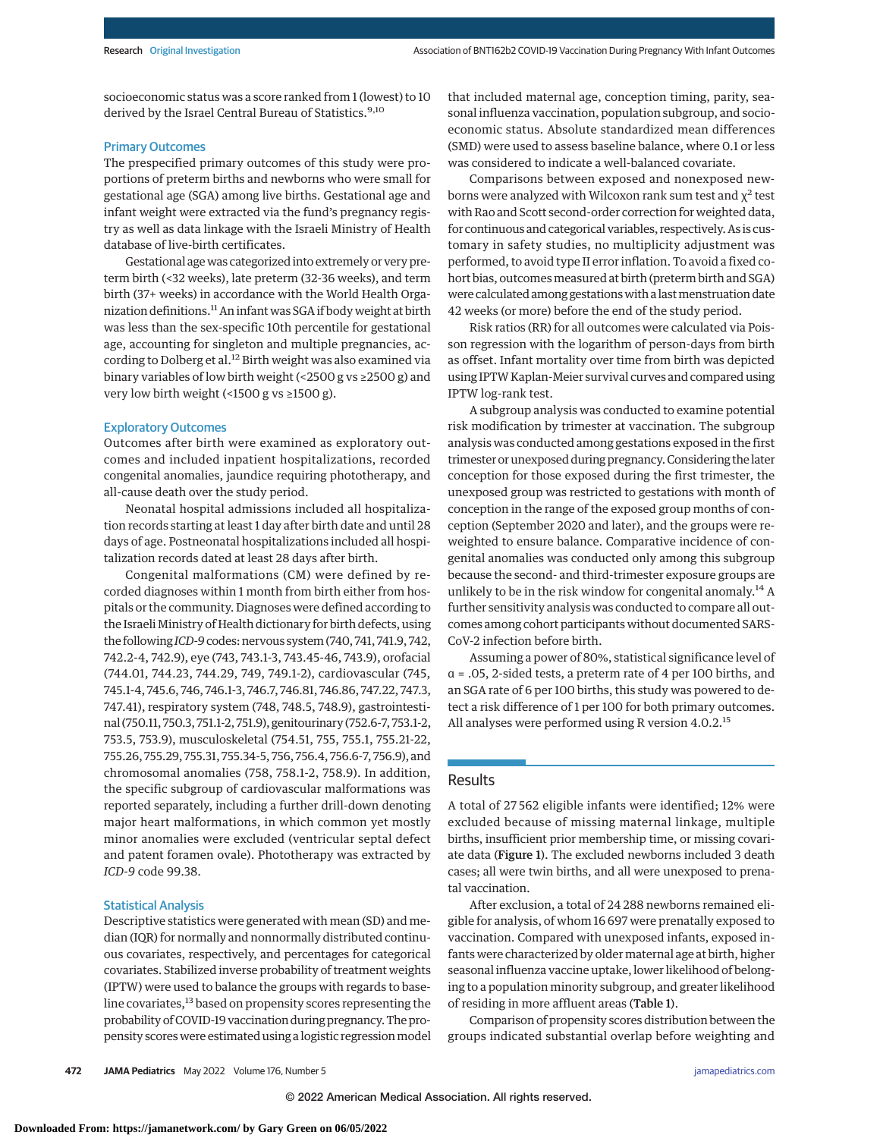socioeconomic status was a score ranked from 1 (lowest) to 10 derived by the Israel Central Bureau of Statistics.<sup>9,10</sup>

### Primary Outcomes

The prespecified primary outcomes of this study were proportions of preterm births and newborns who were small for gestational age (SGA) among live births. Gestational age and infant weight were extracted via the fund's pregnancy registry as well as data linkage with the Israeli Ministry of Health database of live-birth certificates.

Gestational age was categorized into extremely or very preterm birth (<32 weeks), late preterm (32-36 weeks), and term birth (37+ weeks) in accordance with the World Health Organization definitions.<sup>11</sup> An infant was SGA if body weight at birth was less than the sex-specific 10th percentile for gestational age, accounting for singleton and multiple pregnancies, according to Dolberg et al.<sup>12</sup> Birth weight was also examined via binary variables of low birth weight (<2500 g vs ≥2500 g) and very low birth weight (<1500 g vs ≥1500 g).

#### Exploratory Outcomes

Outcomes after birth were examined as exploratory outcomes and included inpatient hospitalizations, recorded congenital anomalies, jaundice requiring phototherapy, and all-cause death over the study period.

Neonatal hospital admissions included all hospitalization records starting at least 1 day after birth date and until 28 days of age. Postneonatal hospitalizations included all hospitalization records dated at least 28 days after birth.

Congenital malformations (CM) were defined by recorded diagnoses within 1 month from birth either from hospitals or the community. Diagnoses were defined according to the Israeli Ministry of Health dictionary for birth defects, using the following*ICD-9*codes: nervous system (740, 741, 741.9, 742, 742.2-4, 742.9), eye (743, 743.1-3, 743.45-46, 743.9), orofacial (744.01, 744.23, 744.29, 749, 749.1-2), cardiovascular (745, 745.1-4, 745.6, 746, 746.1-3, 746.7, 746.81, 746.86, 747.22, 747.3, 747.41), respiratory system (748, 748.5, 748.9), gastrointestinal (750.11, 750.3, 751.1-2, 751.9), genitourinary (752.6-7, 753.1-2, 753.5, 753.9), musculoskeletal (754.51, 755, 755.1, 755.21-22, 755.26, 755.29, 755.31, 755.34-5, 756, 756.4, 756.6-7, 756.9), and chromosomal anomalies (758, 758.1-2, 758.9). In addition, the specific subgroup of cardiovascular malformations was reported separately, including a further drill-down denoting major heart malformations, in which common yet mostly minor anomalies were excluded (ventricular septal defect and patent foramen ovale). Phototherapy was extracted by *ICD-9* code 99.38.

### Statistical Analysis

Descriptive statistics were generated with mean (SD) and median (IQR) for normally and nonnormally distributed continuous covariates, respectively, and percentages for categorical covariates. Stabilized inverse probability of treatment weights (IPTW) were used to balance the groups with regards to baseline covariates,<sup>13</sup> based on propensity scores representing the probability of COVID-19 vaccination during pregnancy. The propensity scores were estimated using a logistic regression model that included maternal age, conception timing, parity, seasonal influenza vaccination, population subgroup, and socioeconomic status. Absolute standardized mean differences (SMD) were used to assess baseline balance, where 0.1 or less was considered to indicate a well-balanced covariate.

Comparisons between exposed and nonexposed newborns were analyzed with Wilcoxon rank sum test and  $\chi^2$  test with Rao and Scott second-order correction for weighted data, for continuous and categorical variables, respectively. As is customary in safety studies, no multiplicity adjustment was performed, to avoid type II error inflation. To avoid a fixed cohort bias, outcomes measured at birth (preterm birth and SGA) were calculated among gestations with a last menstruation date 42 weeks (or more) before the end of the study period.

Risk ratios (RR) for all outcomes were calculated via Poisson regression with the logarithm of person-days from birth as offset. Infant mortality over time from birth was depicted using IPTW Kaplan-Meier survival curves and compared using IPTW log-rank test.

A subgroup analysis was conducted to examine potential risk modification by trimester at vaccination. The subgroup analysis was conducted among gestations exposed in the first trimester or unexposed during pregnancy. Considering the later conception for those exposed during the first trimester, the unexposed group was restricted to gestations with month of conception in the range of the exposed group months of conception (September 2020 and later), and the groups were reweighted to ensure balance. Comparative incidence of congenital anomalies was conducted only among this subgroup because the second- and third-trimester exposure groups are unlikely to be in the risk window for congenital anomaly.<sup>14</sup> A further sensitivity analysis was conducted to compare all outcomes among cohort participants without documented SARS-CoV-2 infection before birth.

Assuming a power of 80%, statistical significance level of α = .05, 2-sided tests, a preterm rate of 4 per 100 births, and an SGA rate of 6 per 100 births, this study was powered to detect a risk difference of 1 per 100 for both primary outcomes. All analyses were performed using R version 4.0.2.<sup>15</sup>

## Results

A total of 27 562 eligible infants were identified; 12% were excluded because of missing maternal linkage, multiple births, insufficient prior membership time, or missing covariate data (Figure 1). The excluded newborns included 3 death cases; all were twin births, and all were unexposed to prenatal vaccination.

After exclusion, a total of 24 288 newborns remained eligible for analysis, of whom 16 697 were prenatally exposed to vaccination. Compared with unexposed infants, exposed infants were characterized by older maternal age at birth, higher seasonal influenza vaccine uptake, lower likelihood of belonging to a population minority subgroup, and greater likelihood of residing in more affluent areas (Table 1).

Comparison of propensity scores distribution between the groups indicated substantial overlap before weighting and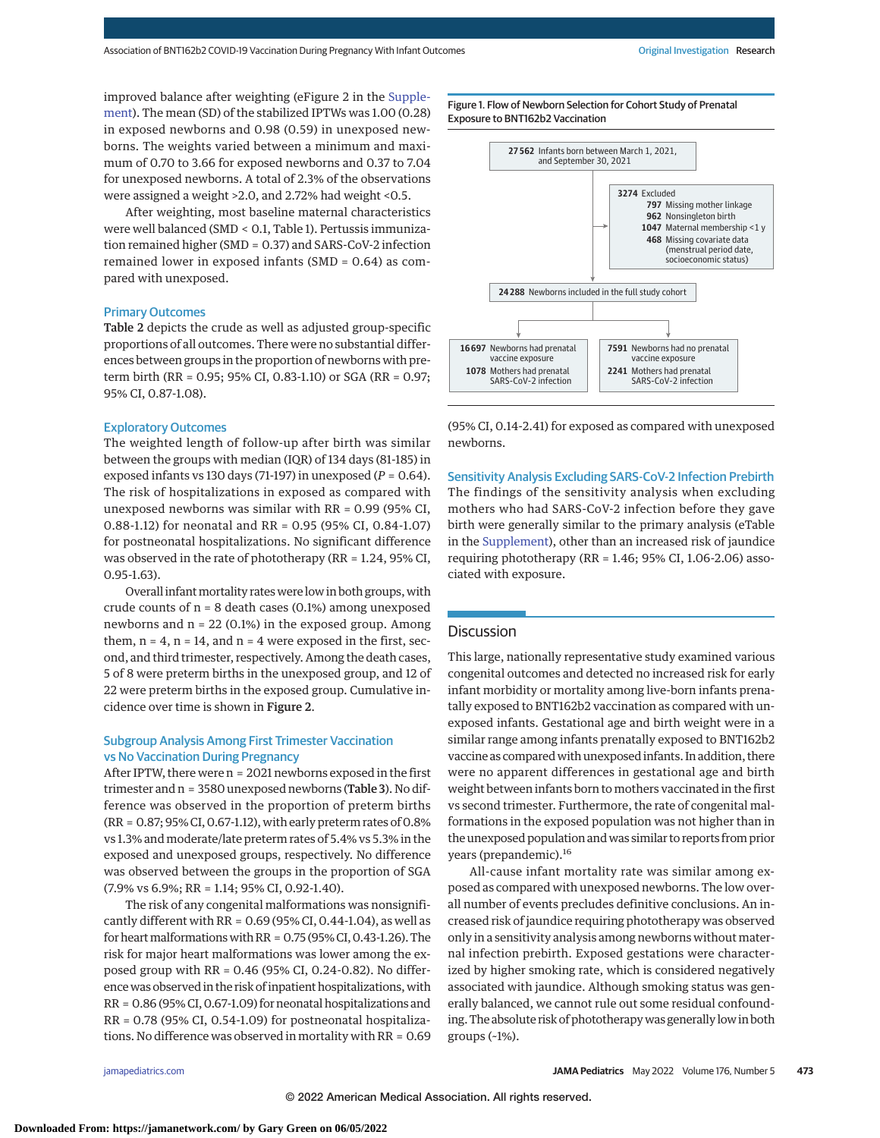improved balance after weighting (eFigure 2 in the [Supple](https://jamanetwork.com/journals/jama/fullarticle/10.1001/jamapediatrics.2022.0001?utm_campaign=articlePDF%26utm_medium=articlePDFlink%26utm_source=articlePDF%26utm_content=jamapediatrics.2022.0001)[ment\)](https://jamanetwork.com/journals/jama/fullarticle/10.1001/jamapediatrics.2022.0001?utm_campaign=articlePDF%26utm_medium=articlePDFlink%26utm_source=articlePDF%26utm_content=jamapediatrics.2022.0001). The mean (SD) of the stabilized IPTWs was 1.00 (0.28) in exposed newborns and 0.98 (0.59) in unexposed newborns. The weights varied between a minimum and maximum of 0.70 to 3.66 for exposed newborns and 0.37 to 7.04 for unexposed newborns. A total of 2.3% of the observations were assigned a weight >2.0, and 2.72% had weight <0.5.

After weighting, most baseline maternal characteristics were well balanced (SMD < 0.1, Table 1). Pertussis immunization remained higher (SMD = 0.37) and SARS-CoV-2 infection remained lower in exposed infants (SMD = 0.64) as compared with unexposed.

#### Primary Outcomes

Table 2 depicts the crude as well as adjusted group-specific proportions of all outcomes. There were no substantial differences between groups in the proportion of newborns with preterm birth (RR = 0.95; 95% CI, 0.83-1.10) or SGA (RR = 0.97; 95% CI, 0.87-1.08).

#### Exploratory Outcomes

The weighted length of follow-up after birth was similar between the groups with median (IQR) of 134 days (81-185) in exposed infants vs 130 days (71-197) in unexposed (*P* = 0.64). The risk of hospitalizations in exposed as compared with unexposed newborns was similar with RR = 0.99 (95% CI, 0.88-1.12) for neonatal and RR = 0.95 (95% CI, 0.84-1.07) for postneonatal hospitalizations. No significant difference was observed in the rate of phototherapy (RR = 1.24, 95% CI, 0.95-1.63).

Overall infant mortality rates were low in both groups, with crude counts of  $n = 8$  death cases (0.1%) among unexposed newborns and  $n = 22$  (0.1%) in the exposed group. Among them,  $n = 4$ ,  $n = 14$ , and  $n = 4$  were exposed in the first, second, and third trimester, respectively. Among the death cases, 5 of 8 were preterm births in the unexposed group, and 12 of 22 were preterm births in the exposed group. Cumulative incidence over time is shown in Figure 2.

## Subgroup Analysis Among First Trimester Vaccination vs No Vaccination During Pregnancy

After IPTW, there were n = 2021 newborns exposed in the first trimester and n = 3580 unexposed newborns (Table 3). No difference was observed in the proportion of preterm births (RR = 0.87; 95% CI, 0.67-1.12), with early preterm rates of 0.8% vs 1.3% and moderate/late preterm rates of 5.4% vs 5.3% in the exposed and unexposed groups, respectively. No difference was observed between the groups in the proportion of SGA (7.9% vs 6.9%; RR = 1.14; 95% CI, 0.92-1.40).

The risk of any congenital malformations was nonsignificantly different with  $RR = 0.69$  (95% CI, 0.44-1.04), as well as for heart malformations with  $RR = 0.75$  (95% CI, 0.43-1.26). The risk for major heart malformations was lower among the exposed group with RR = 0.46 (95% CI, 0.24-0.82). No difference was observed in the risk of inpatient hospitalizations, with RR = 0.86 (95% CI, 0.67-1.09) for neonatal hospitalizations and  $RR = 0.78$  (95% CI, 0.54-1.09) for postneonatal hospitalizations. No difference was observed in mortality with RR = 0.69

Figure 1. Flow of Newborn Selection for Cohort Study of Prenatal Exposure to BNT162b2 Vaccination



(95% CI, 0.14-2.41) for exposed as compared with unexposed newborns.

Sensitivity Analysis Excluding SARS-CoV-2 Infection Prebirth The findings of the sensitivity analysis when excluding mothers who had SARS-CoV-2 infection before they gave birth were generally similar to the primary analysis (eTable in the [Supplement\)](https://jamanetwork.com/journals/jama/fullarticle/10.1001/jamapediatrics.2022.0001?utm_campaign=articlePDF%26utm_medium=articlePDFlink%26utm_source=articlePDF%26utm_content=jamapediatrics.2022.0001), other than an increased risk of jaundice requiring phototherapy (RR = 1.46; 95% CI, 1.06-2.06) associated with exposure.

## **Discussion**

This large, nationally representative study examined various congenital outcomes and detected no increased risk for early infant morbidity or mortality among live-born infants prenatally exposed to BNT162b2 vaccination as compared with unexposed infants. Gestational age and birth weight were in a similar range among infants prenatally exposed to BNT162b2 vaccine as compared with unexposed infants. In addition, there were no apparent differences in gestational age and birth weight between infants born to mothers vaccinated in the first vs second trimester. Furthermore, the rate of congenital malformations in the exposed population was not higher than in the unexposed population and was similar to reports from prior years (prepandemic).<sup>16</sup>

All-cause infant mortality rate was similar among exposed as compared with unexposed newborns. The low overall number of events precludes definitive conclusions. An increased risk of jaundice requiring phototherapy was observed only in a sensitivity analysis among newborns without maternal infection prebirth. Exposed gestations were characterized by higher smoking rate, which is considered negatively associated with jaundice. Although smoking status was generally balanced, we cannot rule out some residual confounding. The absolute risk of phototherapywas generally low in both groups (~1%).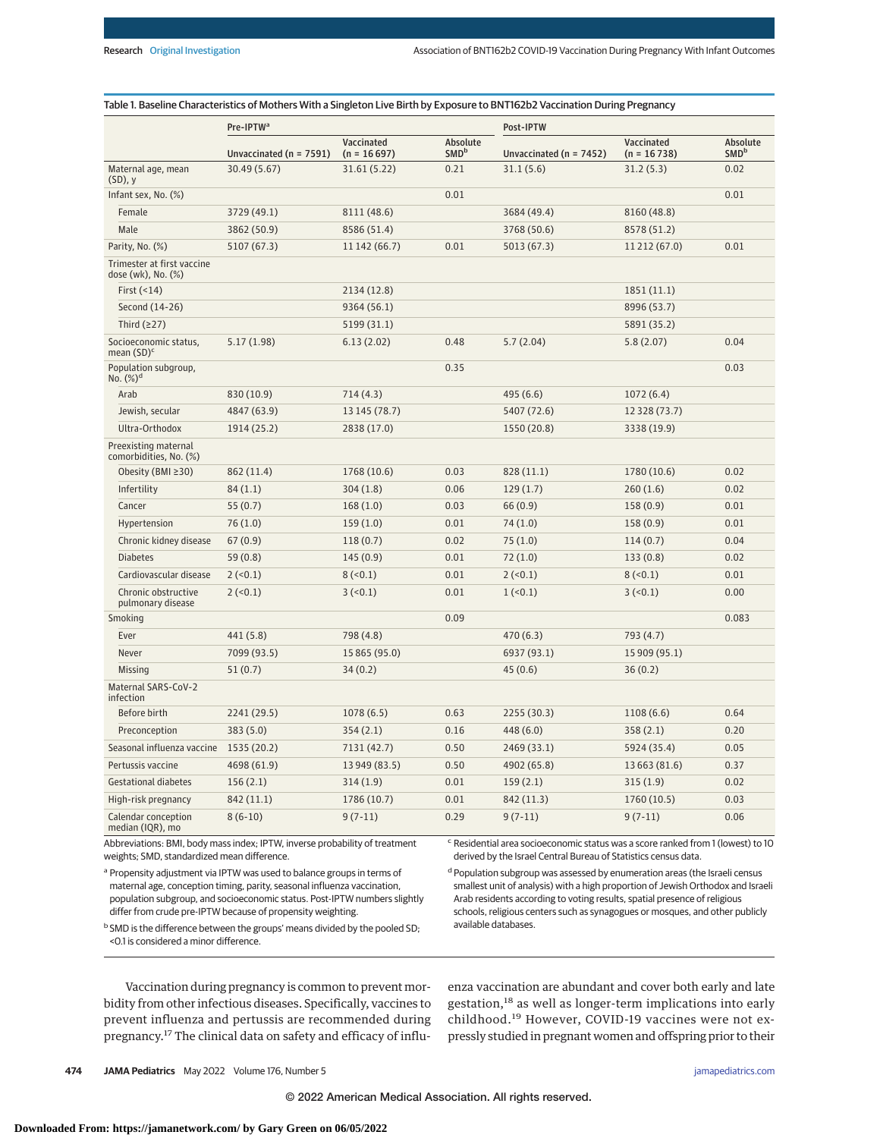#### Table 1. Baseline Characteristics of Mothers With a Singleton Live Birth by Exposure to BNT162b2 Vaccination During Pregnancy

|                                                                             | Pre-IPTW <sup>a</sup>       |                                                                                             |                              | Post-IPTW                   |                             |                              |  |
|-----------------------------------------------------------------------------|-----------------------------|---------------------------------------------------------------------------------------------|------------------------------|-----------------------------|-----------------------------|------------------------------|--|
|                                                                             | Unvaccinated ( $n = 7591$ ) | Vaccinated<br>$(n = 16697)$                                                                 | Absolute<br>SMD <sup>b</sup> | Unvaccinated ( $n = 7452$ ) | Vaccinated<br>$(n = 16738)$ | Absolute<br>SMD <sup>b</sup> |  |
| Maternal age, mean<br>$(SD)$ , y                                            | 30.49 (5.67)                | 31.61 (5.22)                                                                                | 0.21                         | 31.1(5.6)                   | 31.2(5.3)                   | 0.02                         |  |
| Infant sex, No. (%)                                                         |                             |                                                                                             | 0.01                         |                             |                             | 0.01                         |  |
| Female                                                                      | 3729 (49.1)                 | 8111 (48.6)                                                                                 |                              | 3684 (49.4)                 | 8160 (48.8)                 |                              |  |
| Male                                                                        | 3862 (50.9)                 | 8586 (51.4)                                                                                 |                              | 3768 (50.6)                 | 8578 (51.2)                 |                              |  |
| Parity, No. (%)                                                             | 5107 (67.3)                 | 11 142 (66.7)                                                                               | 0.01                         | 5013 (67.3)                 | 11 212 (67.0)               | 0.01                         |  |
| Trimester at first vaccine<br>dose (wk), No. (%)                            |                             |                                                                                             |                              |                             |                             |                              |  |
| First $($ < 14 $)$                                                          |                             | 2134 (12.8)                                                                                 |                              |                             | 1851(11.1)                  |                              |  |
| Second (14-26)                                                              |                             | 9364 (56.1)                                                                                 |                              |                             | 8996 (53.7)                 |                              |  |
| Third $(227)$                                                               |                             | 5199 (31.1)                                                                                 |                              |                             | 5891 (35.2)                 |                              |  |
| Socioeconomic status,<br>mean $(SD)^c$                                      | 5.17(1.98)                  | 6.13(2.02)                                                                                  | 0.48                         | 5.7(2.04)                   | 5.8(2.07)                   | 0.04                         |  |
| Population subgroup,<br>No. $(\%)^d$                                        |                             |                                                                                             | 0.35                         |                             |                             | 0.03                         |  |
| Arab                                                                        | 830 (10.9)                  | 714(4.3)                                                                                    |                              | 495 (6.6)                   | 1072(6.4)                   |                              |  |
| Jewish, secular                                                             | 4847 (63.9)                 | 13 145 (78.7)                                                                               |                              | 5407 (72.6)                 | 12 328 (73.7)               |                              |  |
| Ultra-Orthodox                                                              | 1914 (25.2)                 | 2838 (17.0)                                                                                 |                              | 1550 (20.8)                 | 3338 (19.9)                 |                              |  |
| Preexisting maternal<br>comorbidities, No. (%)                              |                             |                                                                                             |                              |                             |                             |                              |  |
| Obesity (BMI ≥30)                                                           | 862 (11.4)                  | 1768 (10.6)                                                                                 | 0.03                         | 828 (11.1)                  | 1780 (10.6)                 | 0.02                         |  |
| Infertility                                                                 | 84(1.1)                     | 304(1.8)                                                                                    | 0.06                         | 129(1.7)                    | 260(1.6)                    | 0.02                         |  |
| Cancer                                                                      | 55(0.7)                     | 168(1.0)                                                                                    | 0.03                         | 66(0.9)                     | 158(0.9)                    | 0.01                         |  |
| Hypertension                                                                | 76(1.0)                     | 159(1.0)                                                                                    | 0.01                         | 74(1.0)                     | 158(0.9)                    | 0.01                         |  |
| Chronic kidney disease                                                      | 67(0.9)                     | 118(0.7)                                                                                    | 0.02                         | 75(1.0)                     | 114(0.7)                    | 0.04                         |  |
| <b>Diabetes</b>                                                             | 59(0.8)                     | 145(0.9)                                                                                    | 0.01                         | 72(1.0)                     | 133(0.8)                    | 0.02                         |  |
| Cardiovascular disease                                                      | 2(<0.1)                     | 8(<0.1)                                                                                     | 0.01                         | 2(<0.1)                     | 8(<0.1)                     | 0.01                         |  |
| Chronic obstructive<br>pulmonary disease                                    | 2(<0.1)                     | 3(<0.1)                                                                                     | 0.01                         | $1$ (<0.1)                  | 3 (< 0.1)                   | 0.00                         |  |
| Smoking                                                                     |                             |                                                                                             | 0.09                         |                             |                             | 0.083                        |  |
| Ever                                                                        | 441 (5.8)                   | 798 (4.8)                                                                                   |                              | 470(6.3)                    | 793 (4.7)                   |                              |  |
| Never                                                                       | 7099 (93.5)                 | 15 865 (95.0)                                                                               |                              | 6937 (93.1)                 | 15 909 (95.1)               |                              |  |
| Missing                                                                     | 51(0.7)                     | 34(0.2)                                                                                     |                              | 45(0.6)                     | 36(0.2)                     |                              |  |
| Maternal SARS-CoV-2<br>infection                                            |                             |                                                                                             |                              |                             |                             |                              |  |
| Before birth                                                                | 2241 (29.5)                 | 1078 (6.5)                                                                                  | 0.63                         | 2255 (30.3)                 | 1108(6.6)                   | 0.64                         |  |
| Preconception                                                               | 383(5.0)                    | 354(2.1)                                                                                    | 0.16                         | 448 (6.0)                   | 358(2.1)                    | 0.20                         |  |
| Seasonal influenza vaccine                                                  | 1535 (20.2)                 | 7131 (42.7)                                                                                 | 0.50                         | 2469 (33.1)                 | 5924 (35.4)                 | 0.05                         |  |
| Pertussis vaccine                                                           | 4698 (61.9)                 | 13 949 (83.5)                                                                               | 0.50                         | 4902 (65.8)                 | 13 663 (81.6)               | 0.37                         |  |
| Gestational diabetes                                                        | 156(2.1)                    | 314(1.9)                                                                                    | 0.01                         | 159(2.1)                    | 315(1.9)                    | 0.02                         |  |
| High-risk pregnancy                                                         | 842 (11.1)                  | 1786 (10.7)                                                                                 | 0.01                         | 842 (11.3)                  | 1760 (10.5)                 | 0.03                         |  |
| Calendar conception<br>median (IQR), mo                                     | $8(6-10)$                   | $9(7-11)$                                                                                   | 0.29                         | $9(7-11)$                   | $9(7-11)$                   | 0.06                         |  |
| Abbreviations: BMI, body mass index; IPTW, inverse probability of treatment |                             | <sup>c</sup> Residential area socioeconomic status was a score ranked from 1 (lowest) to 10 |                              |                             |                             |                              |  |

weights; SMD, standardized mean difference.

<sup>a</sup> Propensity adjustment via IPTW was used to balance groups in terms of maternal age, conception timing, parity, seasonal influenza vaccination, population subgroup, and socioeconomic status. Post-IPTW numbers slightly differ from crude pre-IPTW because of propensity weighting.

<sup>b</sup> SMD is the difference between the groups' means divided by the pooled SD; <0.1 is considered a minor difference.

 $\epsilon$  Residential area socioeconomic status was a score ranked from 1 (lowest) to 10 derived by the Israel Central Bureau of Statistics census data.

d Population subgroup was assessed by enumeration areas (the Israeli census smallest unit of analysis) with a high proportion of Jewish Orthodox and Israeli Arab residents according to voting results, spatial presence of religious schools, religious centers such as synagogues or mosques, and other publicly available databases.

Vaccination during pregnancy is common to prevent morbidity from other infectious diseases. Specifically, vaccines to prevent influenza and pertussis are recommended during pregnancy.<sup>17</sup> The clinical data on safety and efficacy of influenza vaccination are abundant and cover both early and late gestation,<sup>18</sup> as well as longer-term implications into early childhood.<sup>19</sup> However, COVID-19 vaccines were not expressly studied in pregnant women and offspring prior to their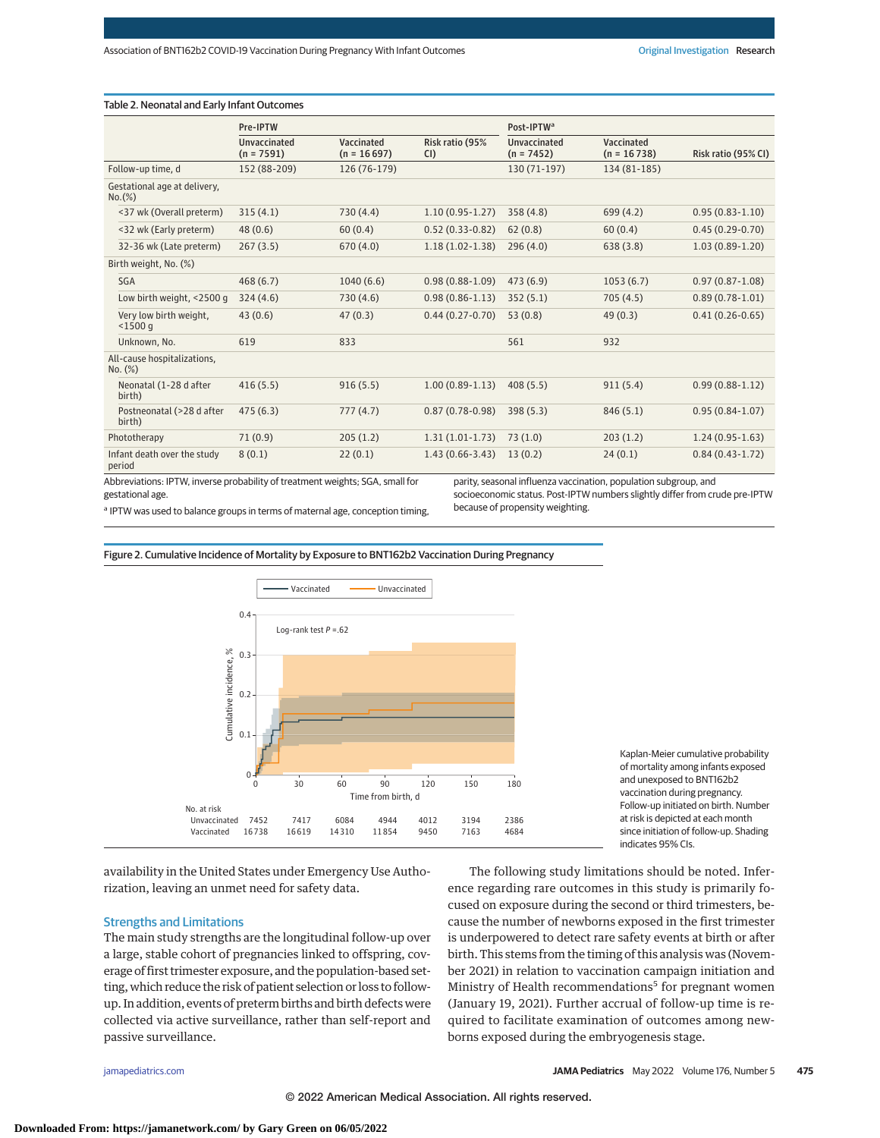| Table 2. Neonatal and Early Infant Outcomes |                                     |                             |                       |                                     |                             |                     |  |
|---------------------------------------------|-------------------------------------|-----------------------------|-----------------------|-------------------------------------|-----------------------------|---------------------|--|
|                                             | Pre-IPTW                            |                             |                       | Post-IPTW <sup>a</sup>              |                             |                     |  |
|                                             | <b>Unvaccinated</b><br>$(n = 7591)$ | Vaccinated<br>$(n = 16697)$ | Risk ratio (95%<br>CI | <b>Unvaccinated</b><br>$(n = 7452)$ | Vaccinated<br>$(n = 16738)$ | Risk ratio (95% CI) |  |
| Follow-up time, d                           | 152 (88-209)                        | 126 (76-179)                |                       | 130 (71-197)                        | 134 (81-185)                |                     |  |
| Gestational age at delivery,<br>$No.$ (%)   |                                     |                             |                       |                                     |                             |                     |  |
| <37 wk (Overall preterm)                    | 315(4.1)                            | 730(4.4)                    | $1.10(0.95 - 1.27)$   | 358(4.8)                            | 699(4.2)                    | $0.95(0.83 - 1.10)$ |  |
| <32 wk (Early preterm)                      | 48(0.6)                             | 60(0.4)                     | $0.52(0.33 - 0.82)$   | 62(0.8)                             | 60(0.4)                     | $0.45(0.29-0.70)$   |  |
| 32-36 wk (Late preterm)                     | 267(3.5)                            | 670(4.0)                    | $1.18(1.02 - 1.38)$   | 296(4.0)                            | 638(3.8)                    | $1.03(0.89-1.20)$   |  |
| Birth weight, No. (%)                       |                                     |                             |                       |                                     |                             |                     |  |
| SGA                                         | 468(6.7)                            | 1040(6.6)                   | $0.98(0.88-1.09)$     | 473(6.9)                            | 1053(6.7)                   | $0.97(0.87 - 1.08)$ |  |
| Low birth weight, <2500 g                   | 324(4.6)                            | 730(4.6)                    | $0.98(0.86 - 1.13)$   | 352(5.1)                            | 705(4.5)                    | $0.89(0.78-1.01)$   |  |
| Very low birth weight,<br>$<$ 1500 $q$      | 43(0.6)                             | 47(0.3)                     | $0.44(0.27 - 0.70)$   | 53(0.8)                             | 49(0.3)                     | $0.41(0.26 - 0.65)$ |  |
| Unknown. No.                                | 619                                 | 833                         |                       | 561                                 | 932                         |                     |  |
| All-cause hospitalizations,<br>No. (%)      |                                     |                             |                       |                                     |                             |                     |  |
| Neonatal (1-28 d after<br>birth)            | 416(5.5)                            | 916(5.5)                    | $1.00(0.89-1.13)$     | 408(5.5)                            | 911(5.4)                    | $0.99(0.88 - 1.12)$ |  |
| Postneonatal (>28 d after<br>birth)         | 475(6.3)                            | 777(4.7)                    | $0.87(0.78-0.98)$     | 398(5.3)                            | 846(5.1)                    | $0.95(0.84-1.07)$   |  |
| Phototherapy                                | 71(0.9)                             | 205(1.2)                    | $1.31(1.01-1.73)$     | 73(1.0)                             | 203(1.2)                    | $1.24(0.95-1.63)$   |  |
| Infant death over the study<br>period       | 8(0.1)                              | 22(0.1)                     | $1.43(0.66 - 3.43)$   | 13(0.2)                             | 24(0.1)                     | $0.84(0.43-1.72)$   |  |
|                                             |                                     |                             |                       |                                     |                             |                     |  |

Abbreviations: IPTW, inverse probability of treatment weights; SGA, small for gestational age.

parity, seasonal influenza vaccination, population subgroup, and socioeconomic status. Post-IPTW numbers slightly differ from crude pre-IPTW because of propensity weighting.

a IPTW was used to balance groups in terms of maternal age, conception timing,

Figure 2. Cumulative Incidence of Mortality by Exposure to BNT162b2 Vaccination During Pregnancy



Kaplan-Meier cumulative probability of mortality among infants exposed and unexposed to BNT162b2 vaccination during pregnancy. Follow-up initiated on birth. Number at risk is depicted at each month since initiation of follow-up. Shading indicates 95% CIs.

availability in the United States under Emergency Use Authorization, leaving an unmet need for safety data.

## Strengths and Limitations

The main study strengths are the longitudinal follow-up over a large, stable cohort of pregnancies linked to offspring, coverage of first trimester exposure, and the population-based setting, which reduce the risk of patient selection or loss to followup. In addition, events of preterm births and birth defects were collected via active surveillance, rather than self-report and passive surveillance.

The following study limitations should be noted. Inference regarding rare outcomes in this study is primarily focused on exposure during the second or third trimesters, because the number of newborns exposed in the first trimester is underpowered to detect rare safety events at birth or after birth. This stems from the timing of this analysis was (November 2021) in relation to vaccination campaign initiation and Ministry of Health recommendations<sup>5</sup> for pregnant women (January 19, 2021). Further accrual of follow-up time is required to facilitate examination of outcomes among newborns exposed during the embryogenesis stage.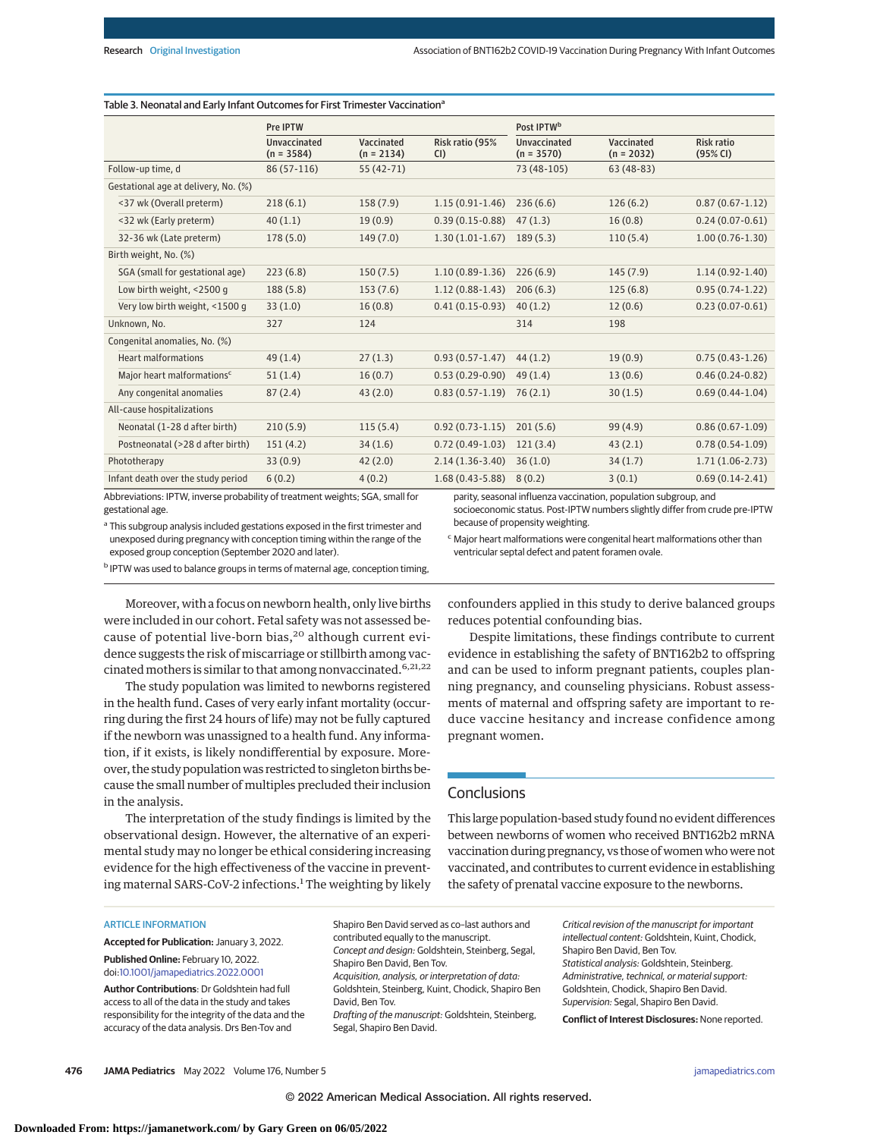| Table 3. Neonatal and Early Infant Outcomes for First Trimester Vaccination <sup>a</sup> |                            |                        |                                     |                            |                               |  |  |
|------------------------------------------------------------------------------------------|----------------------------|------------------------|-------------------------------------|----------------------------|-------------------------------|--|--|
| Pre IPTW                                                                                 |                            |                        | Post IPTW <sup>b</sup>              |                            |                               |  |  |
| <b>Unvaccinated</b><br>$(n = 3584)$                                                      | Vaccinated<br>$(n = 2134)$ | Risk ratio (95%<br>CI) | <b>Unvaccinated</b><br>$(n = 3570)$ | Vaccinated<br>$(n = 2032)$ | <b>Risk ratio</b><br>(95% CI) |  |  |
| 86 (57-116)                                                                              | 55 (42-71)                 |                        | 73 (48-105)                         | $63(48-83)$                |                               |  |  |
|                                                                                          |                            |                        |                                     |                            |                               |  |  |
| 218(6.1)                                                                                 | 158(7.9)                   | $1.15(0.91-1.46)$      | 236(6.6)                            | 126(6.2)                   | $0.87(0.67 - 1.12)$           |  |  |
| 40(1.1)                                                                                  | 19(0.9)                    | $0.39(0.15-0.88)$      | 47(1.3)                             | 16(0.8)                    | $0.24(0.07-0.61)$             |  |  |
| 178(5.0)                                                                                 | 149(7.0)                   | $1.30(1.01-1.67)$      | 189(5.3)                            | 110(5.4)                   | $1.00(0.76-1.30)$             |  |  |
|                                                                                          |                            |                        |                                     |                            |                               |  |  |
| 223(6.8)                                                                                 | 150(7.5)                   | $1.10(0.89-1.36)$      | 226(6.9)                            | 145(7.9)                   | $1.14(0.92 - 1.40)$           |  |  |
| 188(5.8)                                                                                 | 153(7.6)                   | $1.12(0.88-1.43)$      | 206(6.3)                            | 125(6.8)                   | $0.95(0.74-1.22)$             |  |  |
| 33(1.0)                                                                                  | 16(0.8)                    | $0.41(0.15-0.93)$      | 40(1.2)                             | 12(0.6)                    | $0.23(0.07-0.61)$             |  |  |
| 327                                                                                      | 124                        |                        | 314                                 | 198                        |                               |  |  |
|                                                                                          |                            |                        |                                     |                            |                               |  |  |
| 49(1.4)                                                                                  | 27(1.3)                    | $0.93(0.57-1.47)$      | 44(1.2)                             | 19(0.9)                    | $0.75(0.43-1.26)$             |  |  |
| 51(1.4)                                                                                  | 16(0.7)                    | $0.53(0.29-0.90)$      | 49(1.4)                             | 13(0.6)                    | $0.46(0.24-0.82)$             |  |  |
| 87(2.4)                                                                                  | 43(2.0)                    | $0.83(0.57-1.19)$      | 76(2.1)                             | 30(1.5)                    | $0.69(0.44-1.04)$             |  |  |
|                                                                                          |                            |                        |                                     |                            |                               |  |  |
| 210(5.9)                                                                                 | 115(5.4)                   | $0.92(0.73-1.15)$      | 201(5.6)                            | 99(4.9)                    | $0.86(0.67-1.09)$             |  |  |
| 151(4.2)                                                                                 | 34(1.6)                    | $0.72(0.49-1.03)$      | 121(3.4)                            | 43(2.1)                    | $0.78(0.54-1.09)$             |  |  |
| 33(0.9)                                                                                  | 42(2.0)                    | $2.14(1.36-3.40)$      | 36(1.0)                             | 34(1.7)                    | $1.71(1.06-2.73)$             |  |  |
| 6(0.2)                                                                                   | 4(0.2)                     | $1.68(0.43 - 5.88)$    | 8(0.2)                              | 3(0.1)                     | $0.69(0.14-2.41)$             |  |  |
|                                                                                          |                            |                        |                                     |                            |                               |  |  |

Abbreviations: IPTW, inverse probability of treatment weights; SGA, small for gestational age.

parity, seasonal influenza vaccination, population subgroup, and

socioeconomic status. Post-IPTW numbers slightly differ from crude pre-IPTW because of propensity weighting.

<sup>a</sup> This subgroup analysis included gestations exposed in the first trimester and unexposed during pregnancy with conception timing within the range of the exposed group conception (September 2020 and later).

b IPTW was used to balance groups in terms of maternal age, conception timing,

ventricular septal defect and patent foramen ovale.

<sup>c</sup> Major heart malformations were congenital heart malformations other than

Moreover, with a focus on newborn health, only live births were included in our cohort. Fetal safety was not assessed because of potential live-born bias,<sup>20</sup> although current evidence suggests the risk of miscarriage or stillbirth among vaccinated mothers is similar to that among nonvaccinated.  $6,21,22$ 

The study population was limited to newborns registered in the health fund. Cases of very early infant mortality (occurring during the first 24 hours of life) may not be fully captured if the newborn was unassigned to a health fund. Any information, if it exists, is likely nondifferential by exposure. Moreover, the study population was restricted to singleton births because the small number of multiples precluded their inclusion in the analysis.

The interpretation of the study findings is limited by the observational design. However, the alternative of an experimental study may no longer be ethical considering increasing evidence for the high effectiveness of the vaccine in preventing maternal SARS-CoV-2 infections.<sup>1</sup> The weighting by likely confounders applied in this study to derive balanced groups reduces potential confounding bias.

Despite limitations, these findings contribute to current evidence in establishing the safety of BNT162b2 to offspring and can be used to inform pregnant patients, couples planning pregnancy, and counseling physicians. Robust assessments of maternal and offspring safety are important to reduce vaccine hesitancy and increase confidence among pregnant women.

## **Conclusions**

This large population-based study found no evident differences between newborns of women who received BNT162b2 mRNA vaccination during pregnancy, vs those of women who were not vaccinated, and contributes to current evidence in establishing the safety of prenatal vaccine exposure to the newborns.

#### ARTICLE INFORMATION

**Accepted for Publication:** January 3, 2022. **Published Online:** February 10, 2022. doi[:10.1001/jamapediatrics.2022.0001](https://jamanetwork.com/journals/jama/fullarticle/10.1001/jamapediatrics.2022.0001?utm_campaign=articlePDF%26utm_medium=articlePDFlink%26utm_source=articlePDF%26utm_content=jamapediatrics.2022.0001)

**Author Contributions**: Dr Goldshtein had full access to all of the data in the study and takes responsibility for the integrity of the data and the accuracy of the data analysis. Drs Ben-Tov and

Shapiro Ben David served as co–last authors and contributed equally to the manuscript. Concept and design: Goldshtein, Steinberg, Segal, Shapiro Ben David, Ben Tov. Acquisition, analysis, or interpretation of data: Goldshtein, Steinberg, Kuint, Chodick, Shapiro Ben David, Ben Tov. Drafting of the manuscript: Goldshtein, Steinberg, Segal, Shapiro Ben David.

Critical revision of the manuscript for important intellectual content: Goldshtein, Kuint, Chodick, Shapiro Ben David, Ben Tov. Statistical analysis: Goldshtein, Steinberg. Administrative, technical, or material support: Goldshtein, Chodick, Shapiro Ben David. Supervision: Segal, Shapiro Ben David.

**Conflict of Interest Disclosures:** None reported.